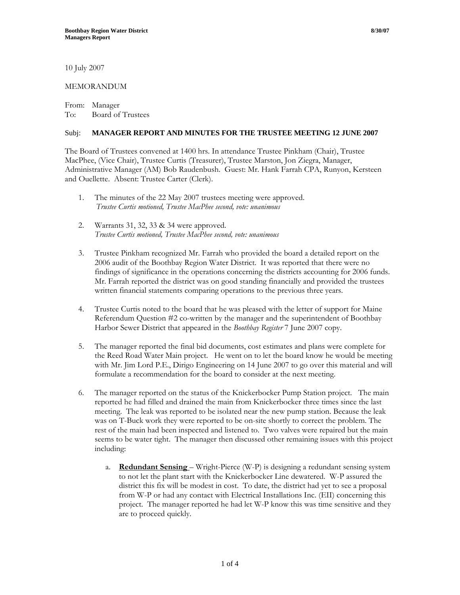10 July 2007

## MEMORANDUM

From: Manager To: Board of Trustees

## Subj: **MANAGER REPORT AND MINUTES FOR THE TRUSTEE MEETING 12 JUNE 2007**

The Board of Trustees convened at 1400 hrs. In attendance Trustee Pinkham (Chair), Trustee MacPhee, (Vice Chair), Trustee Curtis (Treasurer), Trustee Marston, Jon Ziegra, Manager, Administrative Manager (AM) Bob Raudenbush. Guest: Mr. Hank Farrah CPA, Runyon, Kersteen and Ouellette. Absent: Trustee Carter (Clerk).

- 1. The minutes of the 22 May 2007 trustees meeting were approved. *Trustee Curtis motioned, Trustee MacPhee second, vote: unanimous*
- 2. Warrants 31, 32, 33 & 34 were approved. *Trustee Curtis motioned, Trustee MacPhee second, vote: unanimous*
- 3. Trustee Pinkham recognized Mr. Farrah who provided the board a detailed report on the 2006 audit of the Boothbay Region Water District. It was reported that there were no findings of significance in the operations concerning the districts accounting for 2006 funds. Mr. Farrah reported the district was on good standing financially and provided the trustees written financial statements comparing operations to the previous three years.
- 4. Trustee Curtis noted to the board that he was pleased with the letter of support for Maine Referendum Question #2 co-written by the manager and the superintendent of Boothbay Harbor Sewer District that appeared in the *Boothbay Register* 7 June 2007 copy.
- 5. The manager reported the final bid documents, cost estimates and plans were complete for the Reed Road Water Main project. He went on to let the board know he would be meeting with Mr. Jim Lord P.E., Dirigo Engineering on 14 June 2007 to go over this material and will formulate a recommendation for the board to consider at the next meeting.
- 6. The manager reported on the status of the Knickerbocker Pump Station project. The main reported he had filled and drained the main from Knickerbocker three times since the last meeting. The leak was reported to be isolated near the new pump station. Because the leak was on T-Buck work they were reported to be on-site shortly to correct the problem. The rest of the main had been inspected and listened to. Two valves were repaired but the main seems to be water tight. The manager then discussed other remaining issues with this project including:
	- a. **Redundant Sensing**  Wright-Pierce (W-P) is designing a redundant sensing system to not let the plant start with the Knickerbocker Line dewatered. W-P assured the district this fix will be modest in cost. To date, the district had yet to see a proposal from W-P or had any contact with Electrical Installations Inc. (EII) concerning this project. The manager reported he had let W-P know this was time sensitive and they are to proceed quickly.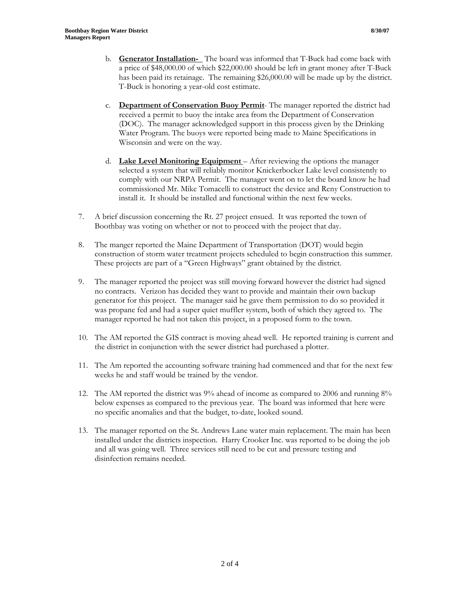- b. **Generator Installation-** The board was informed that T-Buck had come back with a price of \$48,000.00 of which \$22,000.00 should be left in grant money after T-Buck has been paid its retainage. The remaining \$26,000.00 will be made up by the district. T-Buck is honoring a year-old cost estimate.
- c. **Department of Conservation Buoy Permit** The manager reported the district had received a permit to buoy the intake area from the Department of Conservation (DOC). The manager acknowledged support in this process given by the Drinking Water Program. The buoys were reported being made to Maine Specifications in Wisconsin and were on the way.
- d. **Lake Level Monitoring Equipment**  After reviewing the options the manager selected a system that will reliably monitor Knickerbocker Lake level consistently to comply with our NRPA Permit. The manager went on to let the board know he had commissioned Mr. Mike Tomacelli to construct the device and Reny Construction to install it. It should be installed and functional within the next few weeks.
- 7. A brief discussion concerning the Rt. 27 project ensued. It was reported the town of Boothbay was voting on whether or not to proceed with the project that day.
- 8. The manger reported the Maine Department of Transportation (DOT) would begin construction of storm water treatment projects scheduled to begin construction this summer. These projects are part of a "Green Highways" grant obtained by the district.
- 9. The manager reported the project was still moving forward however the district had signed no contracts. Verizon has decided they want to provide and maintain their own backup generator for this project. The manager said he gave them permission to do so provided it was propane fed and had a super quiet muffler system, both of which they agreed to. The manager reported he had not taken this project, in a proposed form to the town.
- 10. The AM reported the GIS contract is moving ahead well. He reported training is current and the district in conjunction with the sewer district had purchased a plotter.
- 11. The Am reported the accounting software training had commenced and that for the next few weeks he and staff would be trained by the vendor.
- 12. The AM reported the district was 9% ahead of income as compared to 2006 and running 8% below expenses as compared to the previous year. The board was informed that here were no specific anomalies and that the budget, to-date, looked sound.
- 13. The manager reported on the St. Andrews Lane water main replacement. The main has been installed under the districts inspection. Harry Crooker Inc. was reported to be doing the job and all was going well. Three services still need to be cut and pressure testing and disinfection remains needed.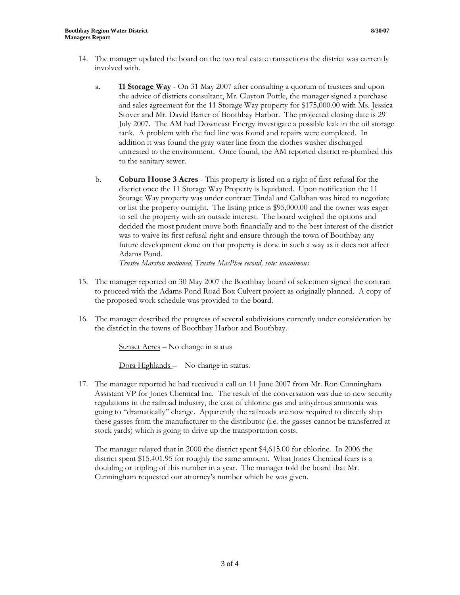involved with.

- a. **11 Storage Way** On 31 May 2007 after consulting a quorum of trustees and upon the advice of districts consultant, Mr. Clayton Pottle, the manager signed a purchase and sales agreement for the 11 Storage Way property for \$175,000.00 with Ms. Jessica Stover and Mr. David Barter of Boothbay Harbor. The projected closing date is 29 July 2007. The AM had Downeast Energy investigate a possible leak in the oil storage tank. A problem with the fuel line was found and repairs were completed. In addition it was found the gray water line from the clothes washer discharged untreated to the environment. Once found, the AM reported district re-plumbed this to the sanitary sewer.
- b. **Coburn House 3 Acres** This property is listed on a right of first refusal for the district once the 11 Storage Way Property is liquidated. Upon notification the 11 Storage Way property was under contract Tindal and Callahan was hired to negotiate or list the property outright. The listing price is \$95,000.00 and the owner was eager to sell the property with an outside interest. The board weighed the options and decided the most prudent move both financially and to the best interest of the district was to waive its first refusal right and ensure through the town of Boothbay any future development done on that property is done in such a way as it does not affect Adams Pond.

*Trustee Marston motioned, Trustee MacPhee second, vote: unanimous*

- 15. The manager reported on 30 May 2007 the Boothbay board of selectmen signed the contract to proceed with the Adams Pond Road Box Culvert project as originally planned. A copy of the proposed work schedule was provided to the board.
- 16. The manager described the progress of several subdivisions currently under consideration by the district in the towns of Boothbay Harbor and Boothbay.

Sunset Acres – No change in status

Dora Highlands – No change in status.

17. The manager reported he had received a call on 11 June 2007 from Mr. Ron Cunningham Assistant VP for Jones Chemical Inc. The result of the conversation was due to new security regulations in the railroad industry, the cost of chlorine gas and anhydrous ammonia was going to "dramatically" change. Apparently the railroads are now required to directly ship these gasses from the manufacturer to the distributor (i.e. the gasses cannot be transferred at stock yards) which is going to drive up the transportation costs.

The manager relayed that in 2000 the district spent \$4,615.00 for chlorine. In 2006 the district spent \$15,401.95 for roughly the same amount. What Jones Chemical fears is a doubling or tripling of this number in a year. The manager told the board that Mr. Cunningham requested our attorney's number which he was given.